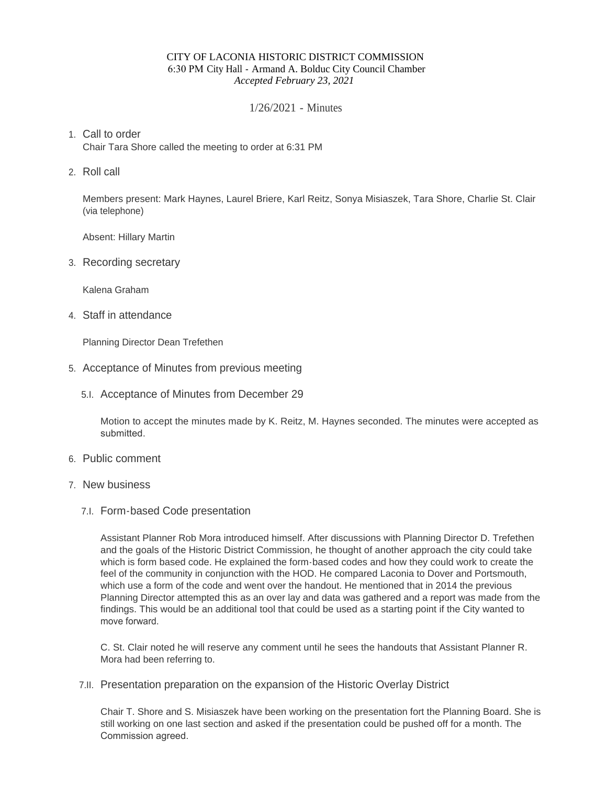#### CITY OF LACONIA HISTORIC DISTRICT COMMISSION 6:30 PM City Hall - Armand A. Bolduc City Council Chamber *Accepted February 23, 2021*

### 1/26/2021 - Minutes

# Call to order 1.

Chair Tara Shore called the meeting to order at 6:31 PM

2. Roll call

Members present: Mark Haynes, Laurel Briere, Karl Reitz, Sonya Misiaszek, Tara Shore, Charlie St. Clair (via telephone)

Absent: Hillary Martin

3. Recording secretary

Kalena Graham

Staff in attendance 4.

Planning Director Dean Trefethen

- 5. Acceptance of Minutes from previous meeting
	- 5.I. Acceptance of Minutes from December 29

Motion to accept the minutes made by K. Reitz, M. Haynes seconded. The minutes were accepted as submitted.

- 6. Public comment
- 7. New business
	- Form-based Code presentation 7.I.

Assistant Planner Rob Mora introduced himself. After discussions with Planning Director D. Trefethen and the goals of the Historic District Commission, he thought of another approach the city could take which is form based code. He explained the form-based codes and how they could work to create the feel of the community in conjunction with the HOD. He compared Laconia to Dover and Portsmouth, which use a form of the code and went over the handout. He mentioned that in 2014 the previous Planning Director attempted this as an over lay and data was gathered and a report was made from the findings. This would be an additional tool that could be used as a starting point if the City wanted to move forward.

C. St. Clair noted he will reserve any comment until he sees the handouts that Assistant Planner R. Mora had been referring to.

7.II. Presentation preparation on the expansion of the Historic Overlay District

Chair T. Shore and S. Misiaszek have been working on the presentation fort the Planning Board. She is still working on one last section and asked if the presentation could be pushed off for a month. The Commission agreed.